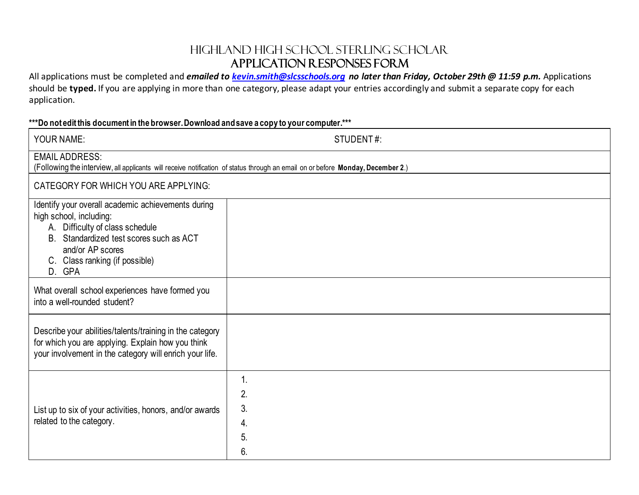## Highland High School Sterling Scholar Application Responses Form

All applications must be completed and *emailed to [kevin.smith@slcsschools.org](mailto:kevin.smith@slcsschools.org) no later than Friday, October 29th @ 11:59 p.m.* Applications should be **typed.** If you are applying in more than one category, please adapt your entries accordingly and submit a separate copy for each application.

## **\*\*\*Do not edit this document in the browser. Download and save a copy to your computer.\*\*\***

| <b>YOUR NAME:</b>                                                                                                                                                                                                           | STUDENT#:                  |
|-----------------------------------------------------------------------------------------------------------------------------------------------------------------------------------------------------------------------------|----------------------------|
| <b>EMAIL ADDRESS:</b><br>(Following the interview, all applicants will receive notification of status through an email on or before Monday, December 2.)                                                                    |                            |
| CATEGORY FOR WHICH YOU ARE APPLYING:                                                                                                                                                                                        |                            |
| Identify your overall academic achievements during<br>high school, including:<br>A. Difficulty of class schedule<br>B. Standardized test scores such as ACT<br>and/or AP scores<br>C. Class ranking (if possible)<br>D. GPA |                            |
| What overall school experiences have formed you<br>into a well-rounded student?                                                                                                                                             |                            |
| Describe your abilities/talents/training in the category<br>for which you are applying. Explain how you think<br>your involvement in the category will enrich your life.                                                    |                            |
| List up to six of your activities, honors, and/or awards<br>related to the category.                                                                                                                                        | 2.<br>3.<br>4.<br>5.<br>6. |